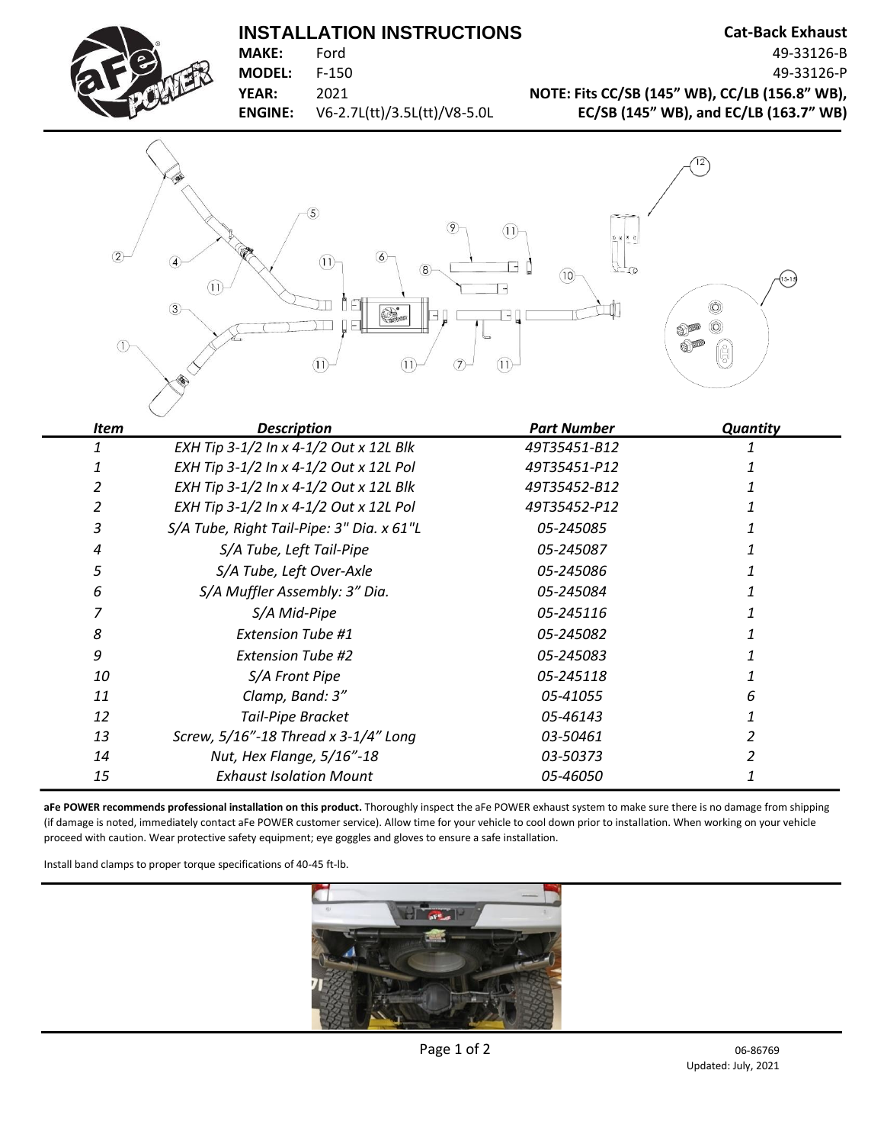## **INSTALLATION INSTRUCTIONS** Cat-Back Exhaust



**MAKE:** Ford 49-33126-B **MODEL:** F-150 49-33126-P **YEAR:** 2021 **NOTE: Fits CC/SB (145" WB), CC/LB (156.8" WB), ENGINE:** V6-2.7L(tt)/3.5L(tt)/V8-5.0L **EC/SB (145" WB), and EC/LB (163.7" WB)**



| Item | <b>Description</b>                        | <b>Part Number</b> | <b>Quantity</b> |
|------|-------------------------------------------|--------------------|-----------------|
|      | EXH Tip 3-1/2 In x 4-1/2 Out x 12L Blk    | 49T35451-B12       |                 |
|      | EXH Tip 3-1/2 In x 4-1/2 Out x 12L Pol    | 49T35451-P12       |                 |
|      | EXH Tip 3-1/2 In x 4-1/2 Out x 12L Blk    | 49T35452-B12       |                 |
|      | EXH Tip 3-1/2 In x 4-1/2 Out x 12L Pol    | 49T35452-P12       |                 |
| 3    | S/A Tube, Right Tail-Pipe: 3" Dia. x 61"L | 05-245085          |                 |
| 4    | S/A Tube, Left Tail-Pipe                  | 05-245087          |                 |
| 5    | S/A Tube, Left Over-Axle                  | 05-245086          |                 |
| 6    | S/A Muffler Assembly: 3" Dia.             | 05-245084          |                 |
|      | S/A Mid-Pipe                              | 05-245116          |                 |
| 8    | <b>Extension Tube #1</b>                  | 05-245082          |                 |
| 9    | <b>Extension Tube #2</b>                  | 05-245083          |                 |
| 10   | S/A Front Pipe                            | 05-245118          |                 |
| 11   | Clamp, Band: 3"                           | 05-41055           |                 |
| 12   | <b>Tail-Pipe Bracket</b>                  | 05-46143           |                 |
| 13   | Screw, 5/16"-18 Thread x 3-1/4" Long      | 03-50461           |                 |
| 14   | Nut, Hex Flange, 5/16"-18                 | 03-50373           |                 |
| 15   | <b>Exhaust Isolation Mount</b>            | <i>05-46050</i>    |                 |

**aFe POWER recommends professional installation on this product.** Thoroughly inspect the aFe POWER exhaust system to make sure there is no damage from shipping (if damage is noted, immediately contact aFe POWER customer service). Allow time for your vehicle to cool down prior to installation. When working on your vehicle proceed with caution. Wear protective safety equipment; eye goggles and gloves to ensure a safe installation.

Install band clamps to proper torque specifications of 40-45 ft-lb.